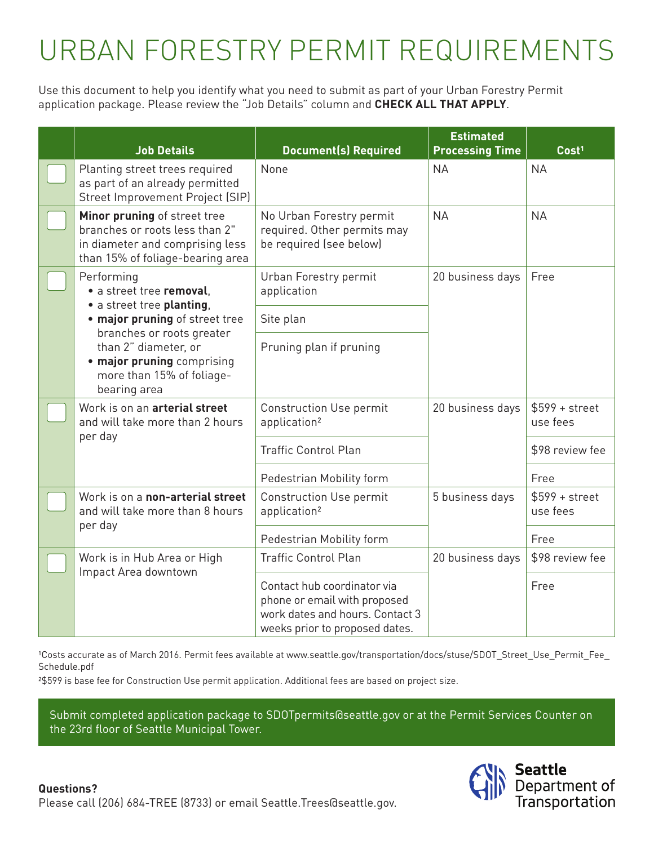## URBAN FORESTRY PERMIT REQUIREMENTS

Use this document to help you identify what you need to submit as part of your Urban Forestry Permit application package. Please review the "Job Details" column and **CHECK ALL THAT APPLY**.

|  | <b>Job Details</b>                                                                                                                                                                                                                    | <b>Document(s) Required</b>                                                                                                      | <b>Estimated</b><br><b>Processing Time</b> | Cost <sup>1</sup>           |
|--|---------------------------------------------------------------------------------------------------------------------------------------------------------------------------------------------------------------------------------------|----------------------------------------------------------------------------------------------------------------------------------|--------------------------------------------|-----------------------------|
|  | Planting street trees required<br>as part of an already permitted<br>Street Improvement Project (SIP)                                                                                                                                 | None                                                                                                                             | <b>NA</b>                                  | <b>NA</b>                   |
|  | Minor pruning of street tree<br>branches or roots less than 2"<br>in diameter and comprising less<br>than 15% of foliage-bearing area                                                                                                 | No Urban Forestry permit<br>required. Other permits may<br>be required (see below)                                               | <b>NA</b>                                  | <b>NA</b>                   |
|  | Performing<br>· a street tree removal.<br>• a street tree planting,<br>. major pruning of street tree<br>branches or roots greater<br>than 2" diameter, or<br>• major pruning comprising<br>more than 15% of foliage-<br>bearing area | Urban Forestry permit<br>application                                                                                             | 20 business days                           | Free                        |
|  |                                                                                                                                                                                                                                       | Site plan                                                                                                                        |                                            |                             |
|  |                                                                                                                                                                                                                                       | Pruning plan if pruning                                                                                                          |                                            |                             |
|  | Work is on an arterial street<br>and will take more than 2 hours<br>per day                                                                                                                                                           | <b>Construction Use permit</b><br>application <sup>2</sup>                                                                       | 20 business days                           | $$599 + street$<br>use fees |
|  |                                                                                                                                                                                                                                       | <b>Traffic Control Plan</b>                                                                                                      |                                            | \$98 review fee             |
|  |                                                                                                                                                                                                                                       | Pedestrian Mobility form                                                                                                         |                                            | Free                        |
|  | Work is on a non-arterial street<br>and will take more than 8 hours<br>per day                                                                                                                                                        | <b>Construction Use permit</b><br>application <sup>2</sup>                                                                       | 5 business days                            | $$599 + street$<br>use fees |
|  |                                                                                                                                                                                                                                       | Pedestrian Mobility form                                                                                                         |                                            | Free                        |
|  | Work is in Hub Area or High<br>Impact Area downtown                                                                                                                                                                                   | <b>Traffic Control Plan</b>                                                                                                      | 20 business days                           | \$98 review fee             |
|  |                                                                                                                                                                                                                                       | Contact hub coordinator via<br>phone or email with proposed<br>work dates and hours. Contact 3<br>weeks prior to proposed dates. |                                            | Free                        |

<sup>1</sup>Costs accurate as of March 2016. Permit fees available at www.seattle.gov/transportation/docs/stuse/SDOT\_Street\_Use\_Permit\_Fee\_ Schedule.pdf

²\$599 is base fee for Construction Use permit application. Additional fees are based on project size.

Submit completed application package to SDOTpermits@seattle.gov or at the Permit Services Counter on the 23rd floor of Seattle Municipal Tower.